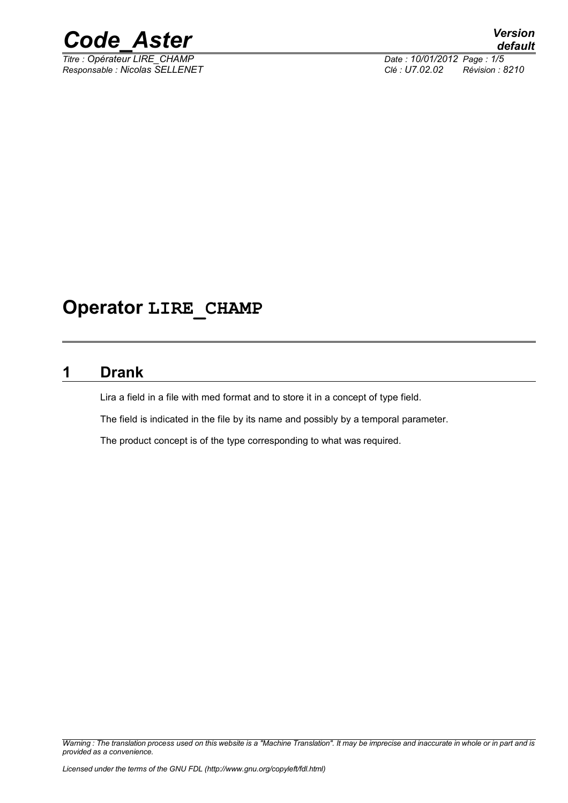

*Titre : Opérateur LIRE\_CHAMP Date : 10/01/2012 Page : 1/5*

*Responsable : Nicolas SELLENET Clé : U7.02.02 Révision : 8210*

# **Operator LIRE\_CHAMP**

### **1 Drank**

Lira a field in a file with med format and to store it in a concept of type field.

The field is indicated in the file by its name and possibly by a temporal parameter.

The product concept is of the type corresponding to what was required.

*Warning : The translation process used on this website is a "Machine Translation". It may be imprecise and inaccurate in whole or in part and is provided as a convenience.*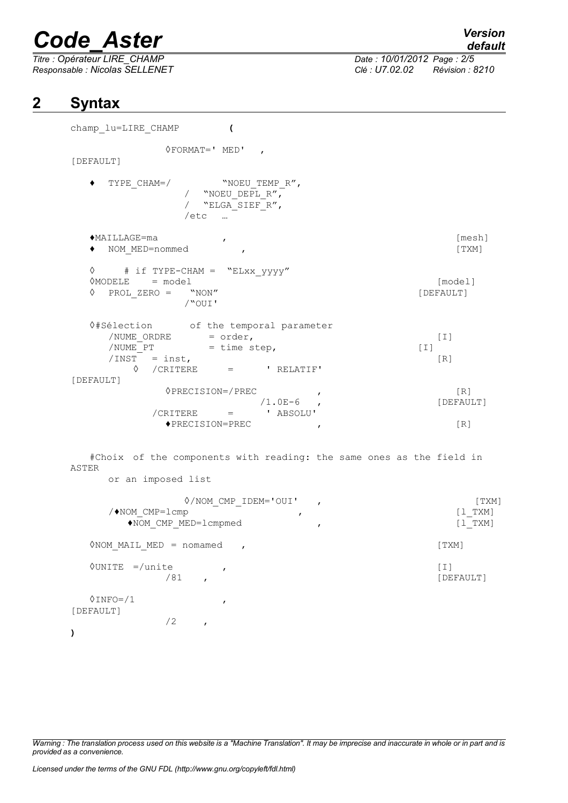*Titre : Opérateur LIRE\_CHAMP Date : 10/01/2012 Page : 2/5 Responsable : Nicolas SELLENET Clé : U7.02.02 Révision : 8210*

*default*

### **2 Syntax**

**)**

champ\_lu=LIRE\_CHAMP **(**  $\Diamond$ FORMAT=' MED', [DEFAULT] ♦ TYPE\_CHAM=/ "NOEU\_TEMP\_R", / "NOEU DEPL  $R''$ , / "ELGA<sup>-SIEF</sub>-R",</sup> /etc … ♦MAILLAGE=ma , [mesh] ♦ NOM\_MED=nommed , [TXM] ◊ # if TYPE-CHAM = "ELxx\_yyyy" ◊MODELE = model [model] ◊ PROL\_ZERO = "NON" [DEFAULT] /"OUI' ◊#Sélection of the temporal parameter /NUME\_ORDRE = order, [I] /NUME\_PT = time step, [I]  $/INST = inst,$  [R] ◊ /CRITERE = ' RELATIF' [DEFAULT] ◊PRECISION=/PREC , [R]  $/1.0E-6$  ,  $[DEFAULT]$  ,  $ABSOLU$  $/$ CRITERE  $=$ ◆PRECISION=PREC , [R] #Choix of the components with reading: the same ones as the field in ASTER or an imposed list  $\frac{\text{N}}{\text{N}}$  (TXM)<br>p [1 TXM]  $\sqrt{\Leftrightarrow}$  NOM CMP=1cmp ,  $\sqrt{\Leftrightarrow}$ ♦NOM\_CMP\_MED=lcmpmed , [l\_TXM] ◇NOM MAIL MED = nomamed , state of the state of the state of the state of the state of the state of the state of the state of the state of the state of the state of the state of the state of the state of the state of the ◊UNITE =/unite , [I] /81 , [DEFAULT]  $\sqrt{INFO} = /1$ [DEFAULT]  $/2$ ,

*Warning : The translation process used on this website is a "Machine Translation". It may be imprecise and inaccurate in whole or in part and is provided as a convenience.*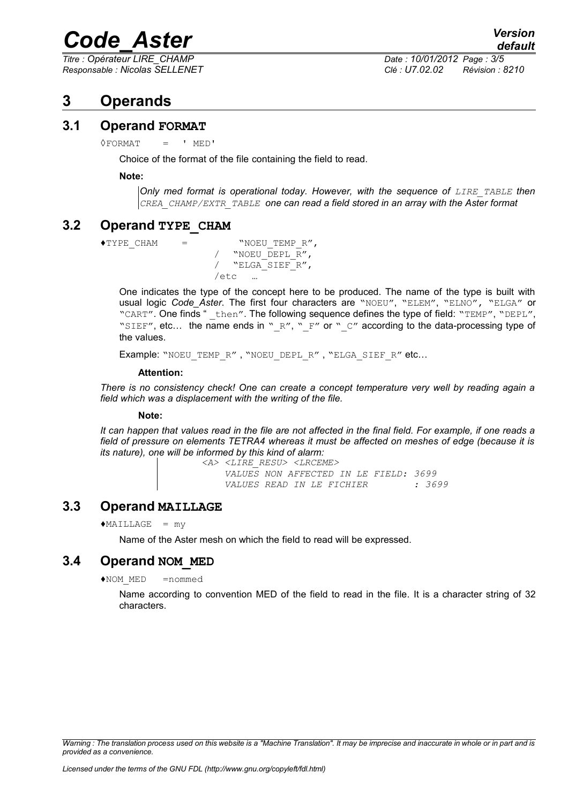*Titre : Opérateur LIRE\_CHAMP Date : 10/01/2012 Page : 3/5*

*Responsable : Nicolas SELLENET Clé : U7.02.02 Révision : 8210*

## **3 Operands**

#### **3.1 Operand FORMAT**

 $\Diamond$ FORMAT = ' MED'

Choice of the format of the file containing the field to read.

#### **Note:**

*Only med format is operational today. However, with the sequence of LIRE\_TABLE then CREA\_CHAMP/EXTR\_TABLE one can read a field stored in an array with the Aster format* 

#### **3.2 Operand TYPE\_CHAM**

```
\blacklozenge TYPE CHAM = "NOEU TEMP R",
        / "NOEU_DEPL_R",
        / "ELGA_SIEF_R",
        /etc
```
One indicates the type of the concept here to be produced. The name of the type is built with usual logic *Code\_Aster*. The first four characters are "NOEU", "ELEM", "ELNO", "ELGA" or "CART". One finds " then". The following sequence defines the type of field: "TEMP", "DEPL", "SIEF", etc... the name ends in "  $R''$ , "  $F''$  or "  $C''$  according to the data-processing type of the values.

Example: "NOEU TEMP R", "NOEU DEPL R", "ELGA SIEF R" etc...

#### **Attention:**

*There is no consistency check! One can create a concept temperature very well by reading again a field which was a displacement with the writing of the file.*

#### **Note:**

*It can happen that values read in the file are not affected in the final field. For example, if one reads a field of pressure on elements TETRA4 whereas it must be affected on meshes of edge (because it is its nature), one will be informed by this kind of alarm:*

 *<A> <LIRE\_RESU> <LRCEME> VALUES NON AFFECTED IN LE FIELD: 3699 VALUES READ IN LE FICHIER : 3699*

#### **3.3 Operand MAILLAGE**

 $*$ MAILLAGE = my

Name of the Aster mesh on which the field to read will be expressed.

#### **3.4 Operand NOM\_MED**

♦NOM\_MED =nommed

Name according to convention MED of the field to read in the file. It is a character string of 32 characters.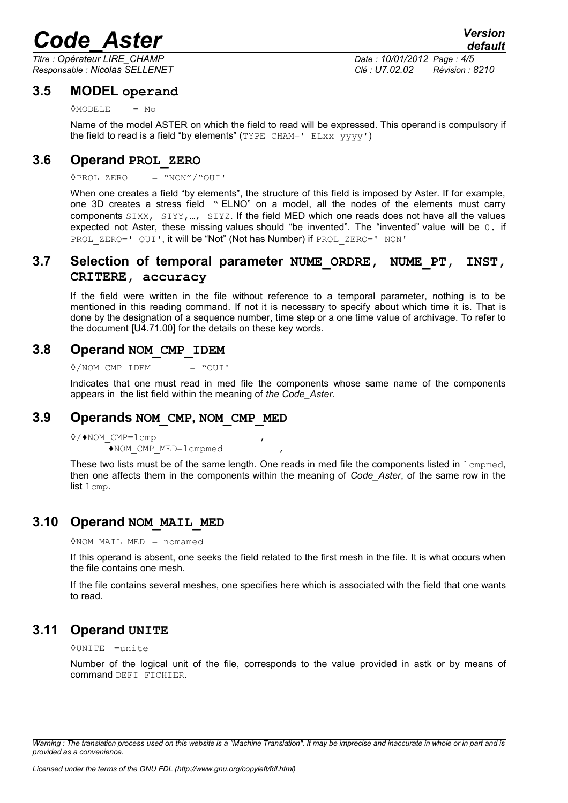*Titre : Opérateur LIRE\_CHAMP Date : 10/01/2012 Page : 4/5 Responsable : Nicolas SELLENET Clé : U7.02.02 Révision : 8210*

#### **3.5 MODEL operand**

#### $\Diamond$ MODELE = Mo

Name of the model ASTER on which the field to read will be expressed. This operand is compulsory if the field to read is a field "by elements"  $(TYPE\ CHAM=' ELXXYYYY')$ 

#### **3.6 Operand PROL\_ZERO**

#### ◊PROL\_ZERO = "NON"/"OUI'

When one creates a field "by elements", the structure of this field is imposed by Aster. If for example, one 3D creates a stress field " ELNO" on a model, all the nodes of the elements must carry components SIXX, SIYY,…, SIYZ. If the field MED which one reads does not have all the values expected not Aster, these missing values should "be invented". The "invented" value will be 0. if PROL ZERO=' OUI', it will be "Not" (Not has Number) if PROL ZERO=' NON'

#### **3.7 Selection of temporal parameter NUME\_ORDRE, NUME\_PT, INST, CRITERE, accuracy**

If the field were written in the file without reference to a temporal parameter, nothing is to be mentioned in this reading command. If not it is necessary to specify about which time it is. That is done by the designation of a sequence number, time step or a one time value of archivage. To refer to the document [U4.71.00] for the details on these key words.

#### **3.8 Operand NOM\_CMP\_IDEM**

 $\Diamond/$ NOM CMP IDEM = "OUI'

Indicates that one must read in med file the components whose same name of the components appears in the list field within the meaning of *the Code\_Aster*.

#### **3.9 Operands NOM\_CMP, NOM\_CMP\_MED**

◊/♦NOM\_CMP=lcmp , ♦NOM\_CMP\_MED=lcmpmed ,

These two lists must be of the same length. One reads in med file the components listed in  $l$ cmpmed, then one affects them in the components within the meaning of *Code\_Aster*, of the same row in the list lcmp.

#### **3.10 Operand NOM\_MAIL\_MED**

◊NOM\_MAIL\_MED = nomamed

If this operand is absent, one seeks the field related to the first mesh in the file. It is what occurs when the file contains one mesh.

If the file contains several meshes, one specifies here which is associated with the field that one wants to read.

#### **3.11 Operand UNITE**

◊UNITE =unite

Number of the logical unit of the file, corresponds to the value provided in astk or by means of command DEFI\_FICHIER.

*Warning : The translation process used on this website is a "Machine Translation". It may be imprecise and inaccurate in whole or in part and is provided as a convenience.*